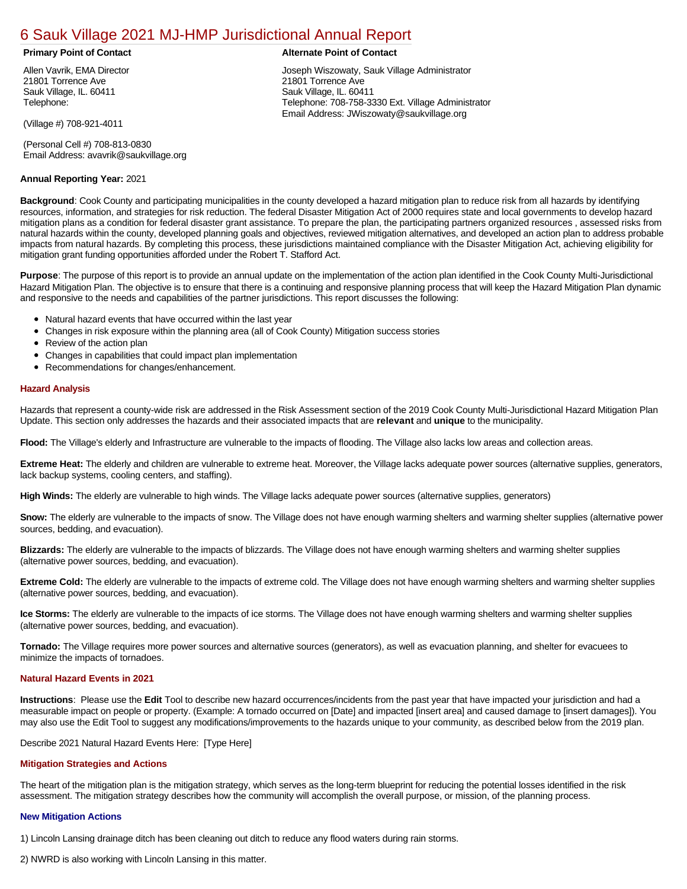# [6 Sauk Village 2021 MJ-HMP Jurisdictional Annual Report](https://sauk.isc-cemp.com/Cemp/Details?id=8322905)

#### **Primary Point of Contact Alternate Point of Contact**

Allen Vavrik, EMA Director 21801 Torrence Ave Sauk Village, IL. 60411 Telephone:

(Village #) 708-921-4011

(Personal Cell #) 708-813-0830 Email Address: avavrik@saukvillage.org

# **Annual Reporting Year:** 2021

Joseph Wiszowaty, Sauk Village Administrator 21801 Torrence Ave Sauk Village, IL. 60411 Telephone: 708-758-3330 Ext. Village Administrator Email Address: JWiszowaty@saukvillage.org

**Background**: Cook County and participating municipalities in the county developed a hazard mitigation plan to reduce risk from all hazards by identifying resources, information, and strategies for risk reduction. The federal Disaster Mitigation Act of 2000 requires state and local governments to develop hazard mitigation plans as a condition for federal disaster grant assistance. To prepare the plan, the participating partners organized resources , assessed risks from natural hazards within the county, developed planning goals and objectives, reviewed mitigation alternatives, and developed an action plan to address probable impacts from natural hazards. By completing this process, these jurisdictions maintained compliance with the Disaster Mitigation Act, achieving eligibility for mitigation grant funding opportunities afforded under the Robert T. Stafford Act.

**Purpose**: The purpose of this report is to provide an annual update on the implementation of the action plan identified in the Cook County Multi-Jurisdictional Hazard Mitigation Plan. The objective is to ensure that there is a continuing and responsive planning process that will keep the Hazard Mitigation Plan dynamic and responsive to the needs and capabilities of the partner jurisdictions. This report discusses the following:

- Natural hazard events that have occurred within the last year
- Changes in risk exposure within the planning area (all of Cook County) Mitigation success stories
- $\bullet$ Review of the action plan
- Changes in capabilities that could impact plan implementation
- Recommendations for changes/enhancement.

### **Hazard Analysis**

Hazards that represent a county-wide risk are addressed in the Risk Assessment section of the 2019 Cook County Multi-Jurisdictional Hazard Mitigation Plan Update. This section only addresses the hazards and their associated impacts that are **relevant** and **unique** to the municipality.

**Flood:** The Village's elderly and Infrastructure are vulnerable to the impacts of flooding. The Village also lacks low areas and collection areas.

**Extreme Heat:** The elderly and children are vulnerable to extreme heat. Moreover, the Village lacks adequate power sources (alternative supplies, generators, lack backup systems, cooling centers, and staffing).

**High Winds:** The elderly are vulnerable to high winds. The Village lacks adequate power sources (alternative supplies, generators)

**Snow:** The elderly are vulnerable to the impacts of snow. The Village does not have enough warming shelters and warming shelter supplies (alternative power sources, bedding, and evacuation).

**Blizzards:** The elderly are vulnerable to the impacts of blizzards. The Village does not have enough warming shelters and warming shelter supplies (alternative power sources, bedding, and evacuation).

**Extreme Cold:** The elderly are vulnerable to the impacts of extreme cold. The Village does not have enough warming shelters and warming shelter supplies (alternative power sources, bedding, and evacuation).

**Ice Storms:** The elderly are vulnerable to the impacts of ice storms. The Village does not have enough warming shelters and warming shelter supplies (alternative power sources, bedding, and evacuation).

**Tornado:** The Village requires more power sources and alternative sources (generators), as well as evacuation planning, and shelter for evacuees to minimize the impacts of tornadoes.

### **Natural Hazard Events in 2021**

**Instructions**: Please use the **Edit** Tool to describe new hazard occurrences/incidents from the past year that have impacted your jurisdiction and had a measurable impact on people or property. (Example: A tornado occurred on [Date] and impacted [insert area] and caused damage to [insert damages]). You may also use the Edit Tool to suggest any modifications/improvements to the hazards unique to your community, as described below from the 2019 plan.

Describe 2021 Natural Hazard Events Here: [Type Here]

### **Mitigation Strategies and Actions**

The heart of the mitigation plan is the mitigation strategy, which serves as the long-term blueprint for reducing the potential losses identified in the risk assessment. The mitigation strategy describes how the community will accomplish the overall purpose, or mission, of the planning process.

### **New Mitigation Actions**

1) Lincoln Lansing drainage ditch has been cleaning out ditch to reduce any flood waters during rain storms.

2) NWRD is also working with Lincoln Lansing in this matter.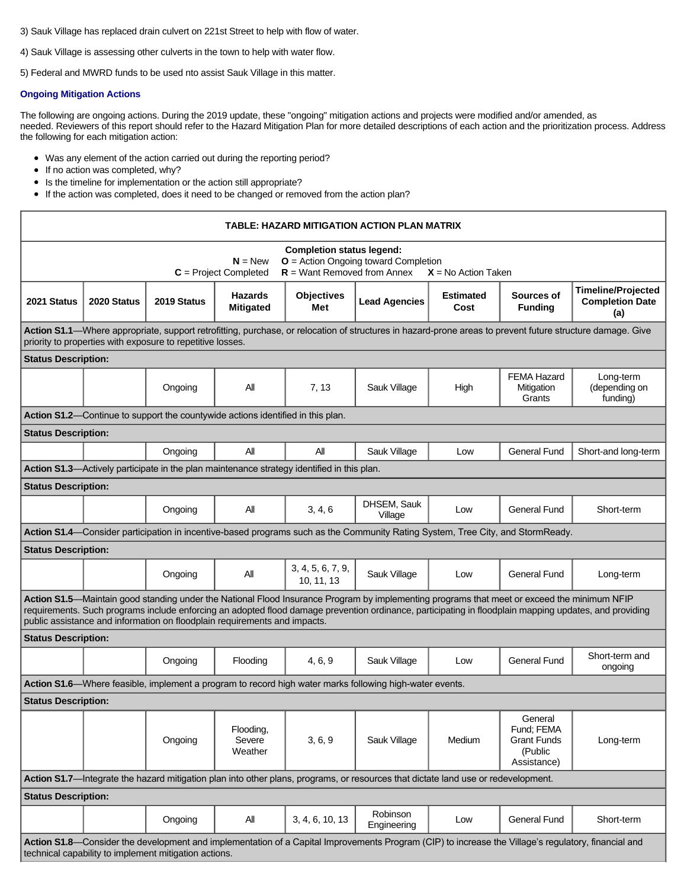- 3) Sauk Village has replaced drain culvert on 221st Street to help with flow of water.
- 4) Sauk Village is assessing other culverts in the town to help with water flow.

5) Federal and MWRD funds to be used nto assist Sauk Village in this matter.

# **Ongoing Mitigation Actions**

The following are ongoing actions. During the 2019 update, these "ongoing" mitigation actions and projects were modified and/or amended, as needed. Reviewers of this report should refer to the Hazard Mitigation Plan for more detailed descriptions of each action and the prioritization process. Address the following for each mitigation action:

- Was any element of the action carried out during the reporting period?
- If no action was completed, why?
- Is the timeline for implementation or the action still appropriate?  $\bullet$
- If the action was completed, does it need to be changed or removed from the action plan?

| TABLE: HAZARD MITIGATION ACTION PLAN MATRIX                                                                                                                                                                                                                                                                                                                                        |             |             |                                                                                 |                                                                                            |                                                                                                                                |                          |                                                                       |                                                            |  |  |  |  |
|------------------------------------------------------------------------------------------------------------------------------------------------------------------------------------------------------------------------------------------------------------------------------------------------------------------------------------------------------------------------------------|-------------|-------------|---------------------------------------------------------------------------------|--------------------------------------------------------------------------------------------|--------------------------------------------------------------------------------------------------------------------------------|--------------------------|-----------------------------------------------------------------------|------------------------------------------------------------|--|--|--|--|
| <b>Completion status legend:</b><br>$N = New$<br>$O =$ Action Ongoing toward Completion<br>$R =$ Want Removed from Annex<br>$C = Project Completed$<br>$X = No$ Action Taken                                                                                                                                                                                                       |             |             |                                                                                 |                                                                                            |                                                                                                                                |                          |                                                                       |                                                            |  |  |  |  |
| 2021 Status                                                                                                                                                                                                                                                                                                                                                                        | 2020 Status | 2019 Status | <b>Hazards</b><br><b>Mitigated</b>                                              | <b>Objectives</b><br>Met                                                                   | <b>Lead Agencies</b>                                                                                                           | <b>Estimated</b><br>Cost | Sources of<br><b>Funding</b>                                          | <b>Timeline/Projected</b><br><b>Completion Date</b><br>(a) |  |  |  |  |
| Action S1.1—Where appropriate, support retrofitting, purchase, or relocation of structures in hazard-prone areas to prevent future structure damage. Give<br>priority to properties with exposure to repetitive losses.                                                                                                                                                            |             |             |                                                                                 |                                                                                            |                                                                                                                                |                          |                                                                       |                                                            |  |  |  |  |
| <b>Status Description:</b>                                                                                                                                                                                                                                                                                                                                                         |             |             |                                                                                 |                                                                                            |                                                                                                                                |                          |                                                                       |                                                            |  |  |  |  |
|                                                                                                                                                                                                                                                                                                                                                                                    |             | Ongoing     | All                                                                             | 7, 13                                                                                      | Sauk Village                                                                                                                   | High                     | <b>FEMA Hazard</b><br>Mitigation<br>Grants                            | Long-term<br>(depending on<br>funding)                     |  |  |  |  |
|                                                                                                                                                                                                                                                                                                                                                                                    |             |             | Action S1.2-Continue to support the countywide actions identified in this plan. |                                                                                            |                                                                                                                                |                          |                                                                       |                                                            |  |  |  |  |
| <b>Status Description:</b>                                                                                                                                                                                                                                                                                                                                                         |             |             |                                                                                 |                                                                                            |                                                                                                                                |                          |                                                                       |                                                            |  |  |  |  |
|                                                                                                                                                                                                                                                                                                                                                                                    |             | Ongoing     | All                                                                             | All                                                                                        | Sauk Village                                                                                                                   | Low                      | <b>General Fund</b>                                                   | Short-and long-term                                        |  |  |  |  |
|                                                                                                                                                                                                                                                                                                                                                                                    |             |             |                                                                                 | Action S1.3—Actively participate in the plan maintenance strategy identified in this plan. |                                                                                                                                |                          |                                                                       |                                                            |  |  |  |  |
| <b>Status Description:</b>                                                                                                                                                                                                                                                                                                                                                         |             |             |                                                                                 |                                                                                            |                                                                                                                                |                          |                                                                       |                                                            |  |  |  |  |
|                                                                                                                                                                                                                                                                                                                                                                                    |             | Ongoing     | All                                                                             | 3, 4, 6                                                                                    | DHSEM, Sauk<br>Village                                                                                                         | Low                      | <b>General Fund</b>                                                   | Short-term                                                 |  |  |  |  |
|                                                                                                                                                                                                                                                                                                                                                                                    |             |             |                                                                                 |                                                                                            | Action S1.4—Consider participation in incentive-based programs such as the Community Rating System, Tree City, and StormReady. |                          |                                                                       |                                                            |  |  |  |  |
| <b>Status Description:</b>                                                                                                                                                                                                                                                                                                                                                         |             |             |                                                                                 |                                                                                            |                                                                                                                                |                          |                                                                       |                                                            |  |  |  |  |
|                                                                                                                                                                                                                                                                                                                                                                                    |             | Ongoing     | All                                                                             | 3, 4, 5, 6, 7, 9,<br>10, 11, 13                                                            | Sauk Village                                                                                                                   | Low                      | <b>General Fund</b>                                                   | Long-term                                                  |  |  |  |  |
| Action S1.5-Maintain good standing under the National Flood Insurance Program by implementing programs that meet or exceed the minimum NFIP<br>requirements. Such programs include enforcing an adopted flood damage prevention ordinance, participating in floodplain mapping updates, and providing<br>public assistance and information on floodplain requirements and impacts. |             |             |                                                                                 |                                                                                            |                                                                                                                                |                          |                                                                       |                                                            |  |  |  |  |
| <b>Status Description:</b>                                                                                                                                                                                                                                                                                                                                                         |             |             |                                                                                 |                                                                                            |                                                                                                                                |                          |                                                                       |                                                            |  |  |  |  |
|                                                                                                                                                                                                                                                                                                                                                                                    |             | Ongoing     | Flooding                                                                        | 4, 6, 9                                                                                    | Sauk Village                                                                                                                   | Low                      | <b>General Fund</b>                                                   | Short-term and<br>ongoing                                  |  |  |  |  |
|                                                                                                                                                                                                                                                                                                                                                                                    |             |             |                                                                                 |                                                                                            | Action S1.6—Where feasible, implement a program to record high water marks following high-water events.                        |                          |                                                                       |                                                            |  |  |  |  |
| <b>Status Description:</b>                                                                                                                                                                                                                                                                                                                                                         |             |             |                                                                                 |                                                                                            |                                                                                                                                |                          |                                                                       |                                                            |  |  |  |  |
|                                                                                                                                                                                                                                                                                                                                                                                    |             | Ongoing     | Flooding,<br>Severe<br>Weather                                                  | 3, 6, 9                                                                                    | Sauk Village                                                                                                                   | Medium                   | General<br>Fund; FEMA<br><b>Grant Funds</b><br>(Public<br>Assistance) | Long-term                                                  |  |  |  |  |
| Action S1.7—Integrate the hazard mitigation plan into other plans, programs, or resources that dictate land use or redevelopment.                                                                                                                                                                                                                                                  |             |             |                                                                                 |                                                                                            |                                                                                                                                |                          |                                                                       |                                                            |  |  |  |  |
| <b>Status Description:</b>                                                                                                                                                                                                                                                                                                                                                         |             |             |                                                                                 |                                                                                            |                                                                                                                                |                          |                                                                       |                                                            |  |  |  |  |
|                                                                                                                                                                                                                                                                                                                                                                                    |             | Ongoing     | All                                                                             | 3, 4, 6, 10, 13                                                                            | Robinson<br>Engineering                                                                                                        | Low                      | <b>General Fund</b>                                                   | Short-term                                                 |  |  |  |  |
| Action S1.8-Consider the development and implementation of a Capital Improvements Program (CIP) to increase the Village's regulatory, financial and<br>technical capability to implement mitigation actions.                                                                                                                                                                       |             |             |                                                                                 |                                                                                            |                                                                                                                                |                          |                                                                       |                                                            |  |  |  |  |